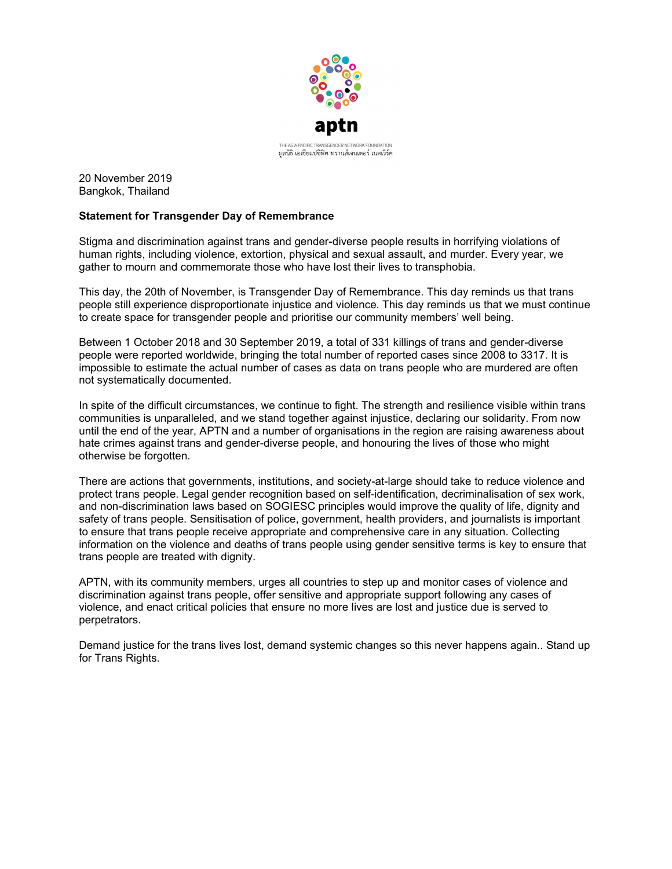

20 November 2019 Bangkok, Thailand

## Statement for Transgender Day of Remembrance

Stigma and discrimination against trans and gender-diverse people results in horrifying violations of human rights, including violence, extortion, physical and sexual assault, and murder. Every year, we gather to mourn and commemorate those who have lost their lives to transphobia.

This day, the 20th of November, is Transgender Day of Remembrance. This day reminds us that trans people still experience disproportionate injustice and violence. This day reminds us that we must continue to create space for transgender people and prioritise our community members' well being.

Between 1 October 2018 and 30 September 2019, a total of 331 killings of trans and gender-diverse people were reported worldwide, bringing the total number of reported cases since 2008 to 3317. It is impossible to estimate the actual number of cases as data on trans people who are murdered are often not systematically documented.

In spite of the difficult circumstances, we continue to fight. The strength and resilience visible within trans communities is unparalleled, and we stand together against injustice, declaring our solidarity. From now until the end of the year, APTN and a number of organisations in the region are raising awareness about hate crimes against trans and gender-diverse people, and honouring the lives of those who might otherwise be forgotten.

There are actions that governments, institutions, and society-at-large should take to reduce violence and protect trans people. Legal gender recognition based on self-identification, decriminalisation of sex work, and non-discrimination laws based on SOGIESC principles would improve the quality of life, dignity and safety of trans people. Sensitisation of police, government, health providers, and journalists is important to ensure that trans people receive appropriate and comprehensive care in any situation. Collecting information on the violence and deaths of trans people using gender sensitive terms is key to ensure that trans people are treated with dignity.

APTN, with its community members, urges all countries to step up and monitor cases of violence and discrimination against trans people, offer sensitive and appropriate support following any cases of violence, and enact critical policies that ensure no more lives are lost and justice due is served to perpetrators.

Demand justice for the trans lives lost, demand systemic changes so this never happens again.. Stand up for Trans Rights.